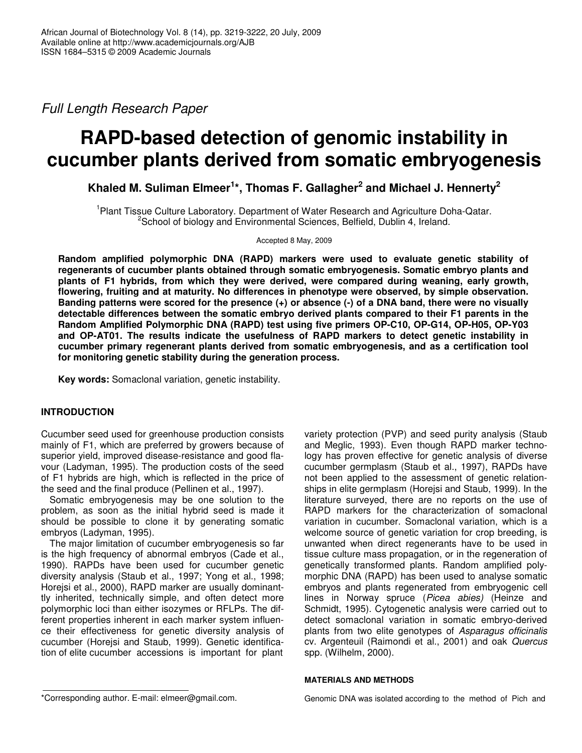*Full Length Research Paper*

# **RAPD-based detection of genomic instability in cucumber plants derived from somatic embryogenesis**

**Khaled M. Suliman Elmeer 1 \*, Thomas F. Gallagher 2 and Michael J. Hennerty 2**

<sup>1</sup> Plant Tissue Culture Laboratory. Department of Water Research and Agriculture Doha-Qatar. <sup>2</sup>School of biology and Environmental Sciences, Belfield, Dublin 4, Ireland.

Accepted 8 May, 2009

**Random amplified polymorphic DNA (RAPD) markers were used to evaluate genetic stability of regenerants of cucumber plants obtained through somatic embryogenesis. Somatic embryo plants and plants of F1 hybrids, from which they were derived, were compared during weaning, early growth, flowering, fruiting and at maturity. No differences in phenotype were observed, by simple observation.** Banding patterns were scored for the presence  $(+)$  or absence  $(-)$  of a DNA band, there were no visually **detectable differences between the somatic embryo derived plants compared to their F1 parents in the Random Amplified Polymorphic DNA (RAPD) test using five primers OP-C10, OP-G14, OP-H05, OP-Y03 and OP-AT01. The results indicate the usefulness of RAPD markers to detect genetic instability in cucumber primary regenerant plants derived from somatic embryogenesis, and as a certification tool for monitoring genetic stability during the generation process.**

**Key words:** Somaclonal variation, genetic instability.

## **INTRODUCTION**

Cucumber seed used for greenhouse production consists mainly of F1, which are preferred by growers because of superior yield, improved disease-resistance and good flavour (Ladyman, 1995). The production costs of the seed of F1 hybrids are high, which is reflected in the price of the seed and the final produce (Pellinen et al., 1997).

Somatic embryogenesis may be one solution to the problem, as soon as the initial hybrid seed is made it should be possible to clone it by generating somatic embryos (Ladyman, 1995).

The major limitation of cucumber embryogenesis so far is the high frequency of abnormal embryos (Cade et al., 1990). RAPDs have been used for cucumber genetic diversity analysis (Staub et al., 1997; Yong et al., 1998; Horejsi et al., 2000), RAPD marker are usually dominanttly inherited, technically simple, and often detect more polymorphic loci than either isozymes or RFLPs. The different properties inherent in each marker system influence their effectiveness for genetic diversity analysis of cucumber (Horejsi and Staub, 1999). Genetic identification of elite cucumber accessions is important for plant

variety protection (PVP) and seed purity analysis (Staub and Meglic, 1993). Even though RAPD marker technology has proven effective for genetic analysis of diverse cucumber germplasm (Staub et al., 1997), RAPDs have not been applied to the assessment of genetic relationships in elite germplasm (Horejsi and Staub, 1999). In the literature surveyed, there are no reports on the use of RAPD markers for the characterization of somaclonal variation in cucumber. Somaclonal variation, which is a welcome source of genetic variation for crop breeding, is unwanted when direct regenerants have to be used in tissue culture mass propagation, or in the regeneration of genetically transformed plants. Random amplified polymorphic DNA (RAPD) has been used to analyse somatic embryos and plants regenerated from embryogenic cell lines in Norway spruce (*Picea abies)* (Heinze and Schmidt, 1995). Cytogenetic analysis were carried out to detect somaclonal variation in somatic embryo-derived plants from two elite genotypes of *Asparagus officinalis* cv. Argenteuil (Raimondi et al., 2001) and oak *Quercus* spp. (Wilhelm, 2000).

## **MATERIALS AND METHODS**

Genomic DNA was isolated according to the method of Pich and

<sup>\*</sup>Corresponding author. E-mail: elmeer@gmail.com.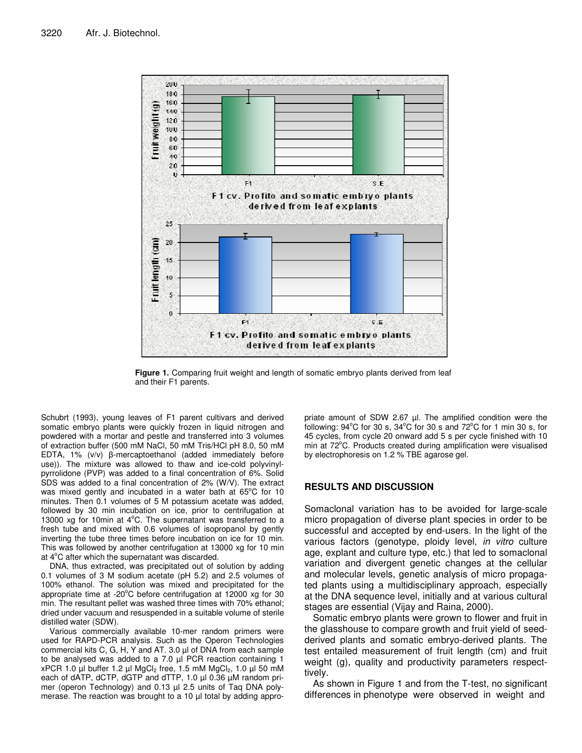

**Figure 1.** Comparing fruit weight and length of somatic embryo plants derived from leaf and their F1 parents.

Schubrt (1993), young leaves of F1 parent cultivars and derived somatic embryo plants were quickly frozen in liquid nitrogen and powdered with a mortar and pestle and transferred into 3 volumes of extraction buffer (500 mM NaCl, 50 mM Tris/HCl pH 8.0, 50 mM EDTA, 1%  $(v/v)$   $\beta$ -mercaptoethanol (added immediately before use)). The mixture was allowed to thaw and ice-cold polyvinylpyrrolidone (PVP) was added to a final concentration of 6%. Solid SDS was added to a final concentration of 2% (W/V). The extract was mixed gently and incubated in a water bath at 65°C for 10 minutes. Then 0.1 volumes of 5 M potassium acetate was added, followed by 30 min incubation on ice, prior to centrifugation at 13000 xg for 10 $min$  at  $4^{\circ}$ C. The supernatant was transferred to a fresh tube and mixed with 0.6 volumes of isopropanol by gently inverting the tube three times before incubation on ice for 10 min. This was followed by another centrifugation at 13000 xg for 10 min at 4°C after which the supernatant was discarded.

DNA, thus extracted, was precipitated out of solution by adding 0.1 volumes of 3 M sodium acetate (pH 5.2) and 2.5 volumes of 100% ethanol. The solution was mixed and precipitated for the appropriate time at -20 $^{\circ}$ C before centrifugation at 12000 xg for 30 min. The resultant pellet was washed three times with 70% ethanol; dried under vacuum and resuspended in a suitable volume of sterile distilled water (SDW).

Various commercially available 10-mer random primers were used for RAPD-PCR analysis. Such as the Operon Technologies commercial kits C, G, H, Y and AT. 3.0 µl of DNA from each sample to be analysed was added to a 7.0 µl PCR reaction containing 1 xPCR 1.0 µl buffer 1.2 µl MgCl<sub>2</sub> free, 1.5 mM MgCl<sub>2</sub>, 1.0 µl 50 mM each of dATP, dCTP, dGTP and dTTP, 1.0 µl 0.36 µM random primer (operon Technology) and 0.13 µl 2.5 units of Taq DNA polymerase. The reaction was brought to a 10 µl total by adding appro-

priate amount of SDW 2.67 µl. The amplified condition were the following: 94°C for 30 s, 34°C for 30 s and 72°C for 1 min 30 s, for 45 cycles, from cycle 20 onward add 5 s per cycle finished with 10 min at 72°C. Products created during amplification were visualised by electrophoresis on 1.2 % TBE agarose gel.

### **RESULTS AND DISCUSSION**

Somaclonal variation has to be avoided for large-scale micro propagation of diverse plant species in order to be successful and accepted by end-users. In the light of the various factors (genotype, ploidy level, *in vitro* culture age, explant and culture type, etc.) that led to somaclonal variation and divergent genetic changes at the cellular and molecular levels, genetic analysis of micro propagated plants using a multidisciplinary approach, especially at the DNA sequence level, initially and at various cultural stages are essential (Vijay and Raina, 2000).

Somatic embryo plants were grown to flower and fruit in the glasshouse to compare growth and fruit yield of seedderived plants and somatic embryo-derived plants. The test entailed measurement of fruit length (cm) and fruit weight (g), quality and productivity parameters respecttively.

As shown in Figure 1 and from the T-test, no significant differences in phenotype were observed in weight and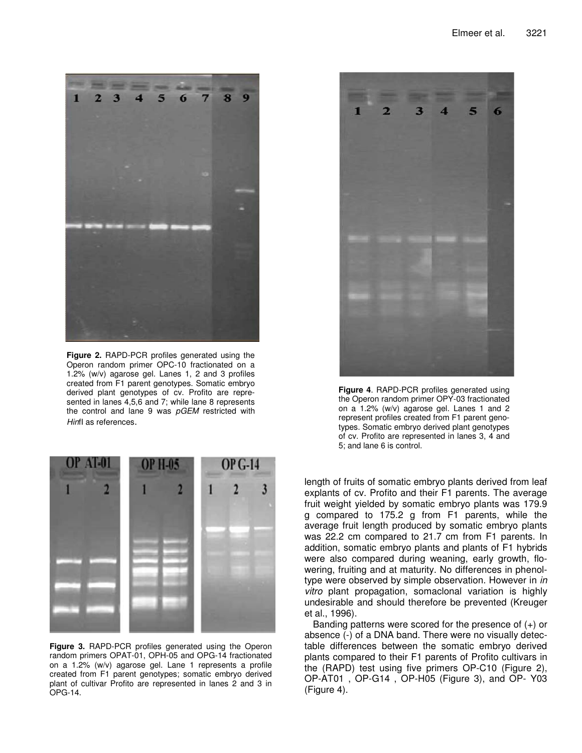

**Figure 2.** RAPD-PCR profiles generated using the Operon random primer OPC-10 fractionated on a 1.2% (w/v) agarose gel. Lanes 1, 2 and 3 profiles created from F1 parent genotypes. Somatic embryo derived plant genotypes of cv. Profito are represented in lanes 4,5,6 and 7; while lane 8 represents the control and lane 9 was *pGEM* restricted with *Hin*fI as references.



**Figure 3.** RAPD-PCR profiles generated using the Operon random primers OPAT-01, OPH-05 and OPG-14 fractionated on a 1.2% (w/v) agarose gel. Lane 1 represents a profile created from F1 parent genotypes; somatic embryo derived plant of cultivar Profito are represented in lanes 2 and 3 in OPG-14.



**Figure 4**. RAPD-PCR profiles generated using the Operon random primer OPY-03 fractionated on a 1.2% (w/v) agarose gel. Lanes 1 and 2 represent profiles created from F1 parent genotypes. Somatic embryo derived plant genotypes of cv. Profito are represented in lanes 3, 4 and 5; and lane 6 is control.

length of fruits of somatic embryo plants derived from leaf explants of cv. Profito and their F1 parents. The average fruit weight yielded by somatic embryo plants was 179.9 g compared to 175.2 g from F1 parents, while the average fruit length produced by somatic embryo plants was 22.2 cm compared to 21.7 cm from F1 parents. In addition, somatic embryo plants and plants of F1 hybrids were also compared during weaning, early growth, flowering, fruiting and at maturity. No differences in phenoltype were observed by simple observation. However in *in vitro* plant propagation, somaclonal variation is highly undesirable and should therefore be prevented (Kreuger et al., 1996).

Banding patterns were scored for the presence of  $(+)$  or absence (-) of a DNA band. There were no visually detectable differences between the somatic embryo derived plants compared to their F1 parents of Profito cultivars in the (RAPD) test using five primers OP-C10 (Figure 2), OP-AT01 , OP-G14 , OP-H05 (Figure 3), and OP- Y03 (Figure 4).